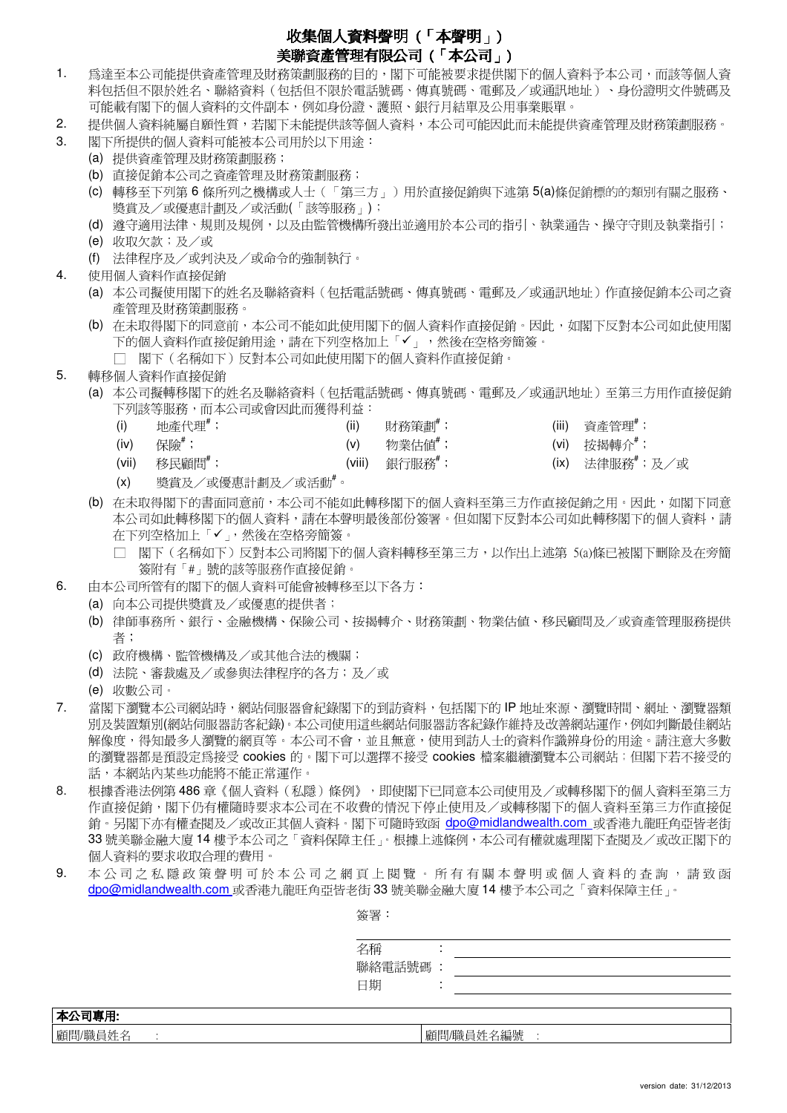## 收集個人資料聲明 ( 「本聲明」)

## 美聯資產管理有限公司 (「本公司」)

- 1. 為達至本公司能提供資產管理及財務策劃服務的目的,閣下可能被要求提供閣下的個人資料予本公司,而該等個人資 料包括但不限於姓名、聯絡資料(包括但不限於電話號碼、傳真號碼、電郵及/或通訊地址)、身份證明文件號碼及 可能載有閣下的個人資料的文件副本,例如身份證、護照、銀行月結單及公用事業賬單。
- 2. 提供個人資料純屬自願性質,若閣下未能提供該等個人資料,本公司可能因此而未能提供資產管理及財務策劃服務。
- 3. 閣下所提供的個人資料可能被本公司用於以下用途:
	- (a) 提供資產管理及財務策劃服務;
	- (b) 直接促銷本公司之資產管理及財務策劃服務;
	- (c) 轉移至下列第 6 條所列之機構或人士(「第三方」)用於直接促銷與下述第 5(a)條促銷標的的類別有關之服務、 獎賞及/或優惠計劃及/或活動(「該等服務」);
	- (d) 遵守適用法律、規則及規例,以及由監管機構所發出並適用於本公司的指引、執業通告、操守守則及執業指引;
	- (e) 收取欠款;及/或
	- (f) 法律程序及/或判決及/或命令的強制執行。

4. 使用個人資料作直接促銷

- (a) 本公司擬使用閣下的姓名及聯絡資料(包括電話號碼、傳真號碼、電郵及/或通訊地址)作直接促銷本公司之資 產管理及財務策劃服務。
- (b) 在未取得閣下的同意前,本公司不能如此使用閣下的個人資料作直接促銷。因此,如閣下反對本公司如此使用閣 下的個人資料作直接促銷用途,請在下列空格加上「」,然後在空格旁簡簽。
	- □ 閣下(名稱如下)反對本公司如此使用閣下的個人資料作直接促銷。
- 5. 轉移個人資料作直接促銷
	- (a) 本公司擬轉移閣下的姓名及聯絡資料(包括電話號碼、傳真號碼、電郵及/或通訊地址)至第三方用作直接促銷 下列該等服務,而本公司或會因此而獲得利益:
		- (i) 地產代理 $^*$ ; (ii) 〔ii〕 財務策劃 $^*$ ; (ii) 資產管理 $^*$ ;
		- (iv) 保險 $^*$ ; (v) 物業估值 $^*$ ; (vi) 按揭轉介 $^*$ ;
			-
- 
- 
- 
- (vii) 移民顧問#; (viii) 銀行服務#; (ix) 法律服務#;及/或
	-
- 
- (x) 獎賞及/或優惠計劃及/或活動#。
- (b) 在未取得閣下的書面同意前,本公司不能如此轉移閣下的個人資料至第三方作直接促銷之用。因此,如閣下同意 本公司如此轉移閣下的個人資料,請在本聲明最後部份簽署。但如閣下反對本公司如此轉移閣下的個人資料,請 在下列空格加上「✔」,然後在空格旁簡簽。
	- □ 閣下(名稱如下)反對本公司將閣下的個人資料轉移至第三方,以作出上述第 5(a)條已被閣下刪除及在旁簡 簽附有「#」號的該等服務作直接促銷。
- 6. 由本公司所管有的閣下的個人資料可能會被轉移至以下各方:
	- (a) 向本公司提供獎賞及/或優惠的提供者;
	- (b) 律師事務所、銀行、金融機構、保險公司、按揭轉介、財務策劃、物業估值、移民顧問及/或資產管理服務提供 者;
	- (c) 政府機構、監管機構及/或其他合法的機關;
	- (d) 法院、審裁處及/或參與法律程序的各方;及/或
	- (e) 收數公司。
- 7. 當閣下瀏覽本公司網站時,網站伺服器會紀錄閣下的到訪資料,包括閣下的 IP 地址來源、瀏覽時間、網址、瀏覽器類 別及裝置類別(網站伺服器訪客紀錄)。本公司使用這些網站伺服器訪客紀錄作維持及改善網站運作,例如判斷最佳網站 解像度,得知最多人瀏覽的網頁等。本公司不會,並且無意,使用到訪人士的資料作識辨身份的用途。請注意大多數 的瀏覽器都是預設定為接受 cookies 的。閣下可以選擇不接受 cookies 檔案繼續瀏覽本公司網站;但閣下若不接受的 話,本網站內某些功能將不能正常運作。
- 8. 根據香港法例第 486 章 《個人資料(私隱)條例》,即使閣下已同意本公司使用及/或轉移閣下的個人資料至第三方 作直接促銷,閣下仍有權隨時要求本公司在不收費的情況下停止使用及/或轉移閣下的個人資料至第三方作直接促 銷。另閣下亦有權查閱及/或改正其個人資料。閣下可隨時致函 dpo@midlandwealth.com 或香港九龍旺角亞皆老街 33 號美聯金融大廈 14 樓予本公司之「資料保障主任」。根據上述條例,本公司有權就處理閣下查閱及/或改正閣下的 個人資料的要求收取合理的費用。
- 9. 本公 司之 私隱政 策 聲 明 可 於 本 公 司 之 網 頁 上 閱 覽 。 所 有 有 關 本 聲 明 或 個 人 資 料 的 查 詢 , 請 致 函 dpo@midlandwealth.com 或香港九龍旺角亞皆老街 33 號美聯金融大廈 14 樓予本公司之「資料保障主任」。

簽署: 名稱 : 聯絡電話號碼 : 日期 : 本公司專用: 顧問/職員姓名 : 顧問/職員姓名編號 :